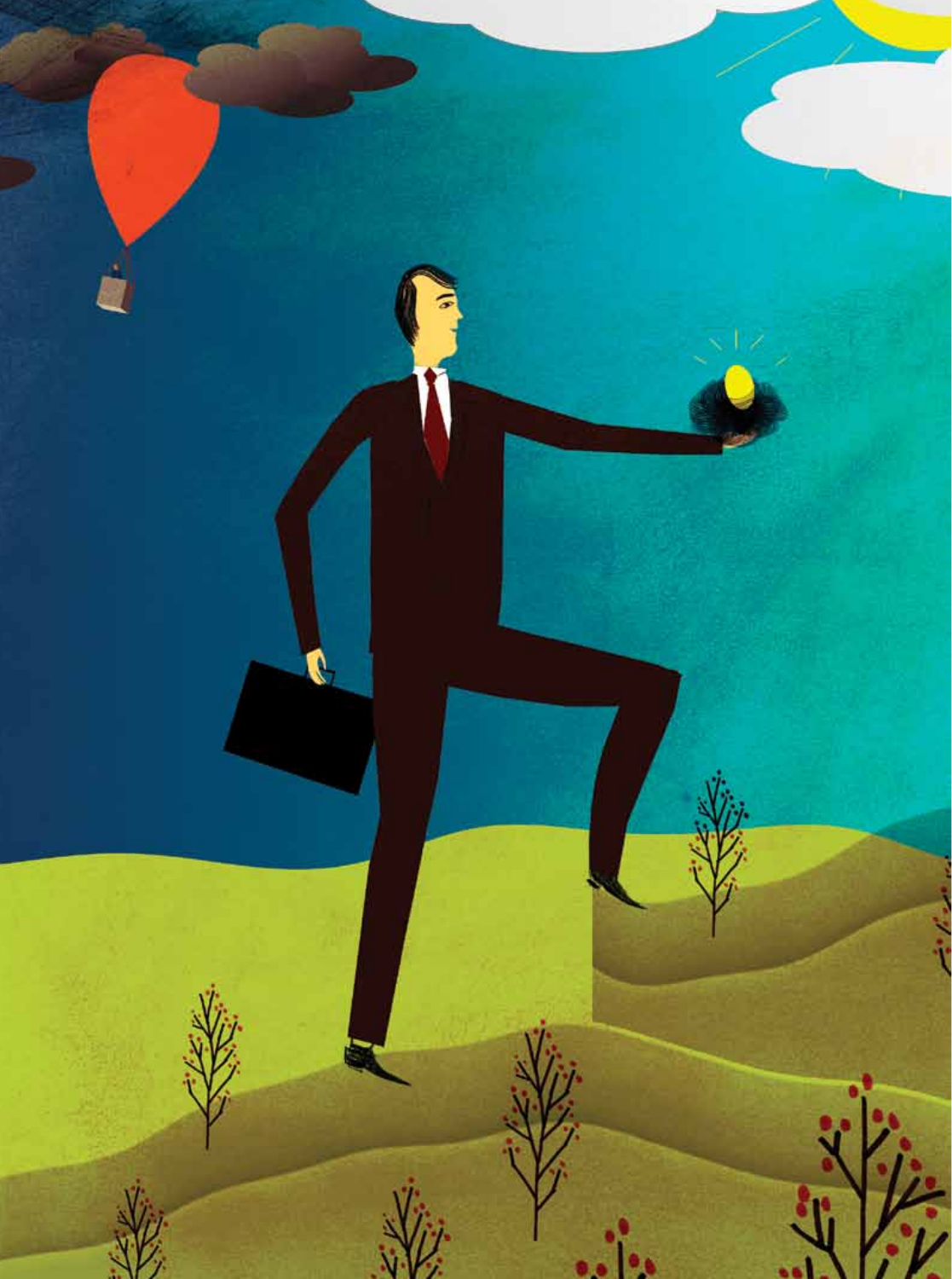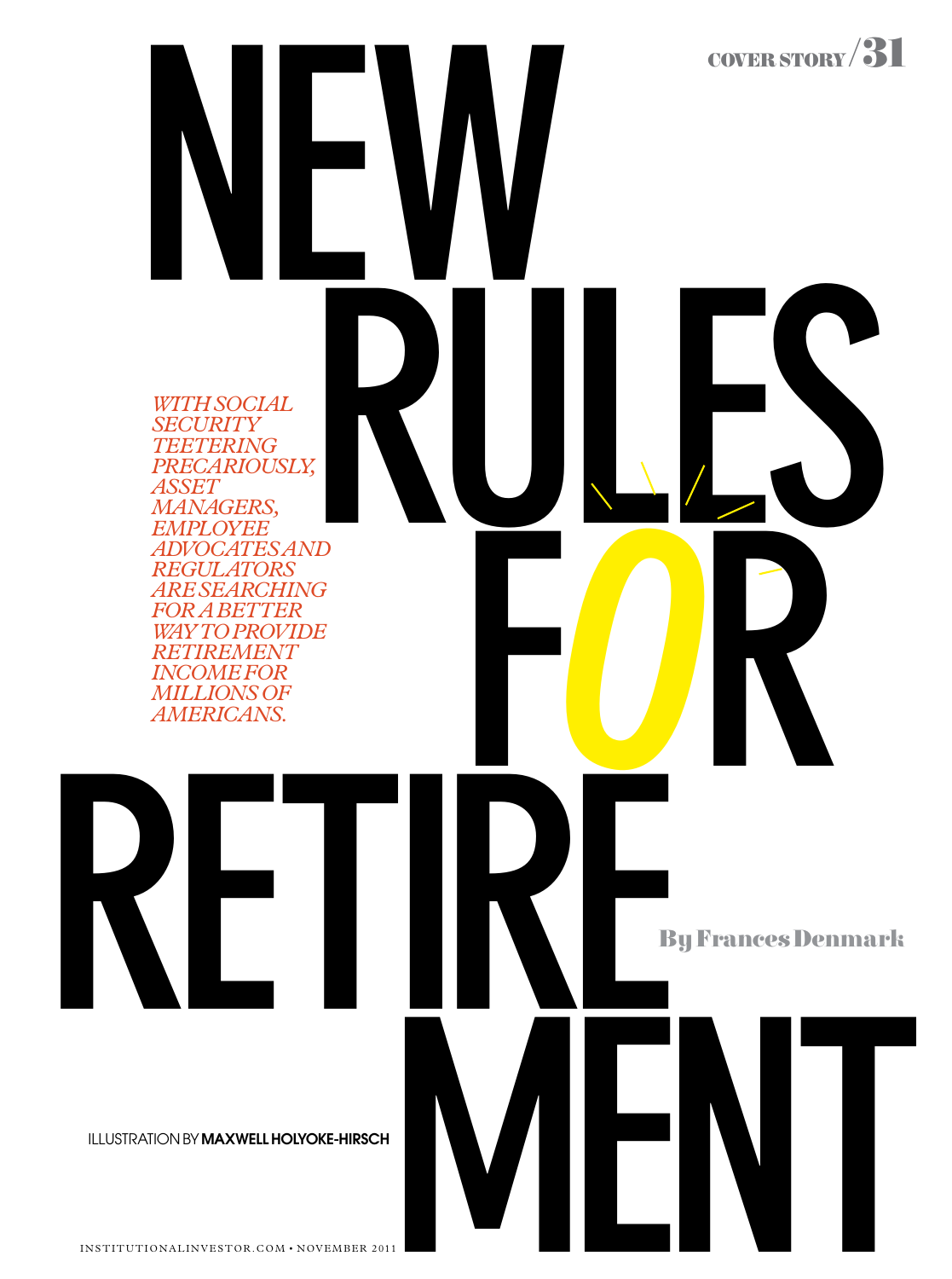

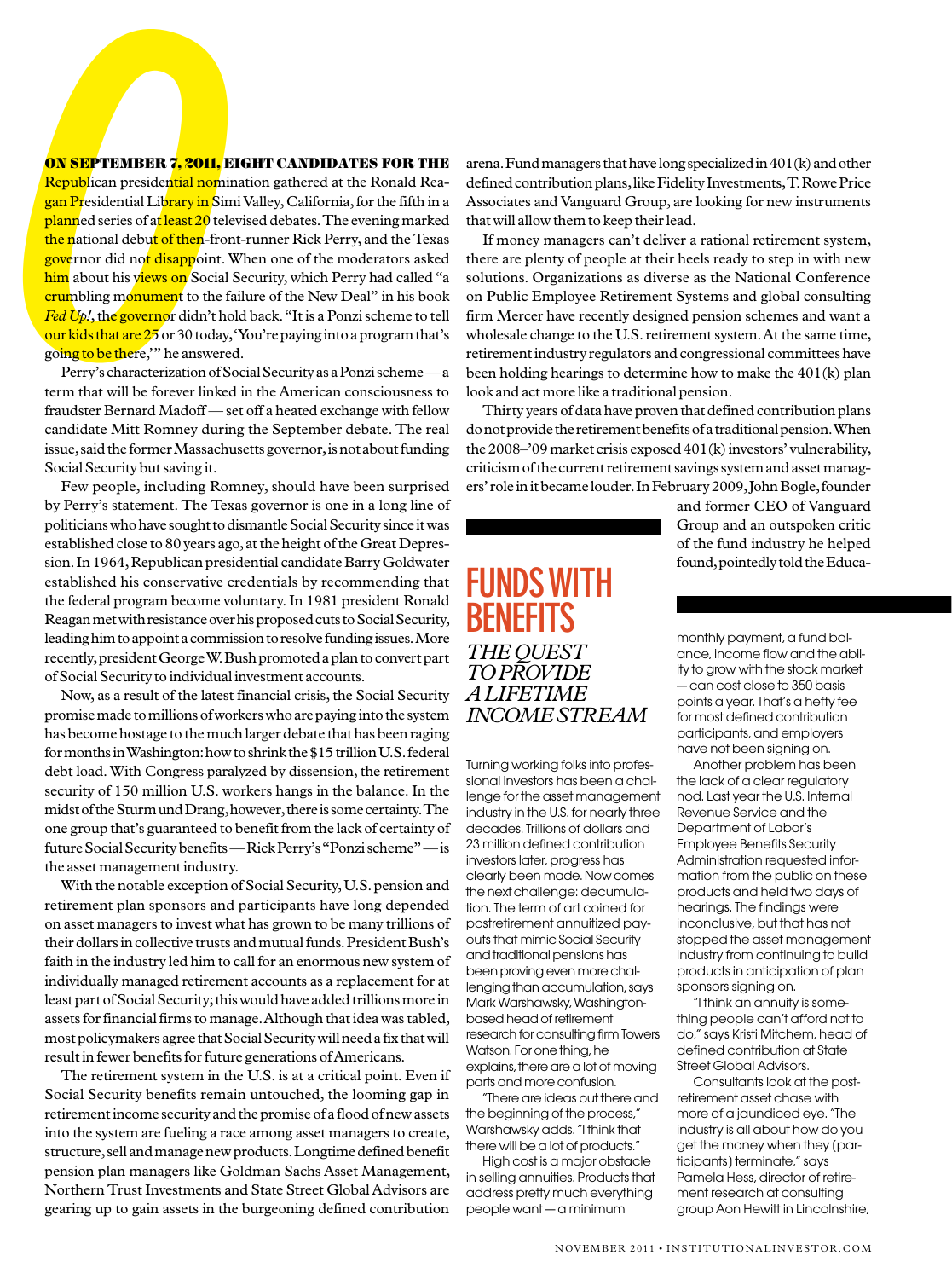#### On September 7, 2011, eight candidates for the

**ON SEPTEMBER 7, 2011, EIGI**<br>Republican presidential nomination<br>and Presidential Library in Simi Va<br>planned series of at least 20 televise<br>the national debut of then-front-ru<br>governor did not disappoint. Where<br>him about h Republican presidential nomination gathered at the Ronald Reagan Presidential Library in Simi Valley, California, for the fifth in a planned series of at least 20 televised debates. The evening marked the national debut of then-front-runner Rick Perry, and the Texas governor did not disappoint. When one of the moderators asked him about his views on Social Security, which Perry had called "a crumbling monument to the failure of the New Deal" in his book *Fed Up!*, the governor didn't hold back. "It is a Ponzi scheme to tell our kids that are 25 or 30 today, 'You're paying into a program that's going to be there,'" he answered.

Perry's characterization of Social Security as a Ponzi scheme — a term that will be forever linked in the American consciousness to fraudster Bernard Madoff — set off a heated exchange with fellow candidate Mitt Romney during the September debate. The real issue, said the former Massachusetts governor, is not about funding Social Security but saving it.

Few people, including Romney, should have been surprised by Perry's statement. The Texas governor is one in a long line of politicians who have sought to dismantle Social Security since it was established close to 80 years ago, at the height of the Great Depression. In 1964, Republican presidential candidate Barry Goldwater established his conservative credentials by recommending that the federal program become voluntary. In 1981 president Ronald Reagan met with resistance over his proposed cuts to Social Security, leading him to appoint a commission to resolve funding issues. More recently, president George W. Bush promoted a plan to convert part of Social Security to individual investment accounts.

Now, as a result of the latest financial crisis, the Social Security promise made to millions of workers who are paying into the system has become hostage to the much larger debate that has been raging for months in Washington: how to shrink the \$15 trillion U.S. federal debt load. With Congress paralyzed by dissension, the retirement security of 150 million U.S. workers hangs in the balance. In the midst of the Sturm und Drang, however, there is some certainty. The one group that's guaranteed to benefit from the lack of certainty of future Social Security benefits — Rick Perry's "Ponzi scheme" — is the asset management industry.

With the notable exception of Social Security, U.S. pension and retirement plan sponsors and participants have long depended on asset managers to invest what has grown to be many trillions of their dollars in collective trusts and mutual funds. President Bush's faith in the industry led him to call for an enormous new system of individually managed retirement accounts as a replacement for at least part of Social Security; this would have added trillions more in assets for financial firms to manage. Although that idea was tabled, most policymakers agree that Social Security will need a fix that will result in fewer benefits for future generations of Americans.

The retirement system in the U.S. is at a critical point. Even if Social Security benefits remain untouched, the looming gap in retirement income security and the promise of a flood of new assets into the system are fueling a race among asset managers to create, structure, sell and manage new products. Longtime defined benefit pension plan managers like Goldman Sachs Asset Management, Northern Trust Investments and State Street Global Advisors are gearing up to gain assets in the burgeoning defined contribution

arena. Fund managers that have long specialized in 401(k) and other defined contribution plans, like Fidelity Investments, T. Rowe Price Associates and Vanguard Group, are looking for new instruments that will allow them to keep their lead.

If money managers can't deliver a rational retirement system, there are plenty of people at their heels ready to step in with new solutions. Organizations as diverse as the National Conference on Public Employee Retirement Systems and global consulting firm Mercer have recently designed pension schemes and want a wholesale change to the U.S. retirement system. At the same time, retirement industry regulators and congressional committees have been holding hearings to determine how to make the 401(k) plan look and act more like a traditional pension.

Thirty years of data have proven that defined contribution plans do not provide the retirement benefits of a traditional pension. When the 2008–'09 market crisis exposed 401(k) investors' vulnerability, criticism of the current retirement savings system and asset managers' role in it became louder. In February 2009, John Bogle, founder

> and former CEO of Vanguard Group and an outspoken critic of the fund industry he helped found, pointedly told the Educa-

**BENEFITS** *The quest to provide a lifetime income stream*

**FUNDS WITH** 

Turning working folks into professional investors has been a challenge for the asset management industry in the U.S. for nearly three decades. Trillions of dollars and 23 million defined contribution investors later, progress has clearly been made. Now comes the next challenge: decumulation. The term of art coined for postretirement annuitized payouts that mimic Social Security and traditional pensions has been proving even more challenging than accumulation, says Mark Warshawsky, Washingtonbased head of retirement research for consulting firm Towers Watson. For one thing, he explains, there are a lot of moving parts and more confusion.

"There are ideas out there and the beginning of the process," Warshawsky adds. "I think that there will be a lot of products."

High cost is a major obstacle in selling annuities. Products that address pretty much everything people want — a minimum

monthly payment, a fund balance, income flow and the ability to grow with the stock market — can cost close to 350 basis points a year. That's a hefty fee for most defined contribution participants, and employers have not been signing on.

Another problem has been the lack of a clear regulatory nod. Last year the U.S. Internal Revenue Service and the Department of Labor's Employee Benefits Security Administration requested information from the public on these products and held two days of hearings. The findings were inconclusive, but that has not stopped the asset management industry from continuing to build products in anticipation of plan sponsors signing on.

"I think an annuity is something people can't afford not to do," says Kristi Mitchem, head of defined contribution at State Street Global Advisors.

Consultants look at the postretirement asset chase with more of a jaundiced eye. "The industry is all about how do you get the money when they [participants] terminate," says Pamela Hess, director of retirement research at consulting group Aon Hewitt in Lincolnshire,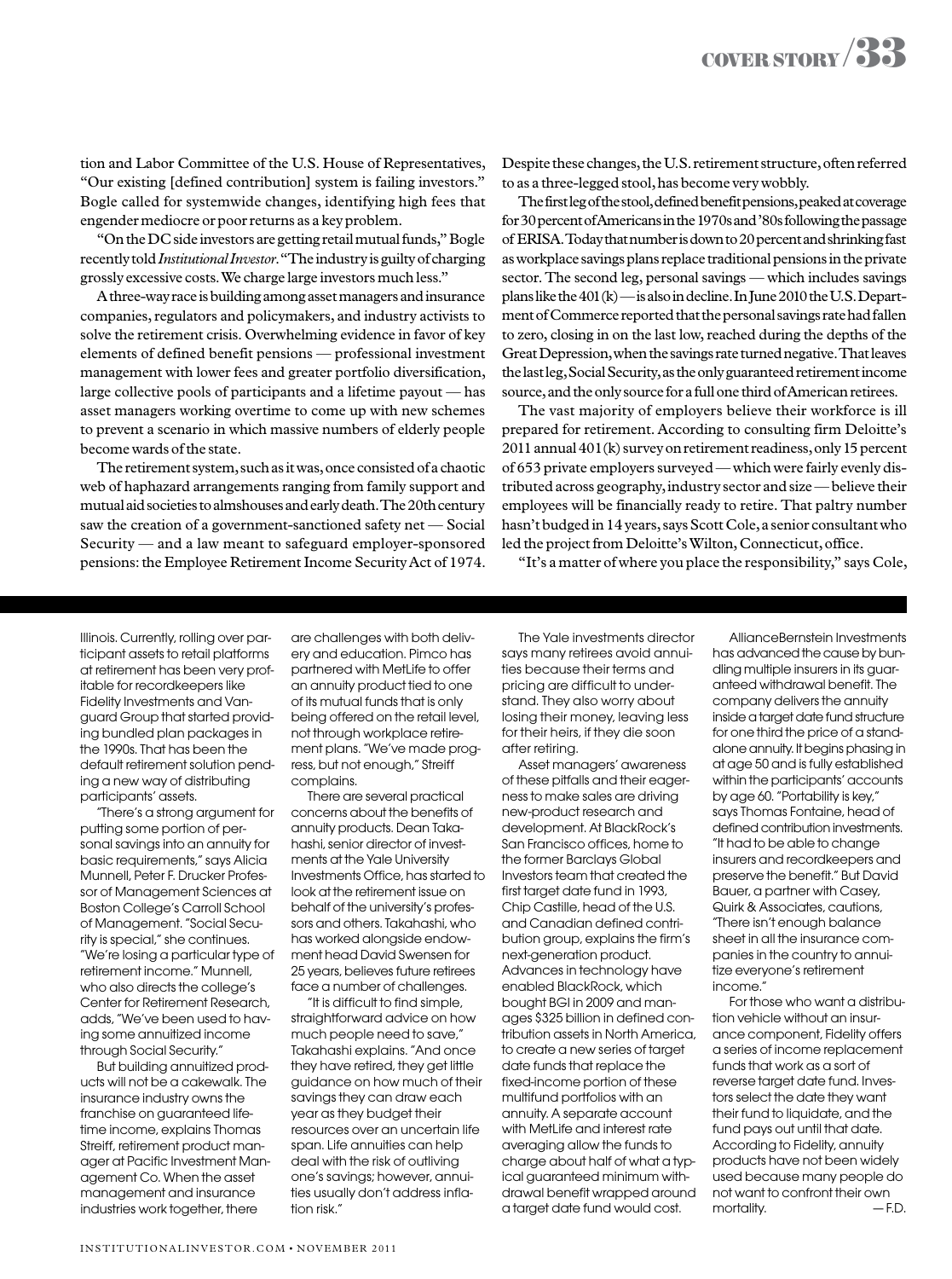cover story /33

tion and Labor Committee of the U.S. House of Representatives, "Our existing [defined contribution] system is failing investors." Bogle called for systemwide changes, identifying high fees that engender mediocre or poor returns as a key problem.

"On the DC side investors are getting retail mutual funds," Bogle recently told *Institutional Investor*. "The industry is guilty of charging grossly excessive costs. We charge large investors much less."

A three-way race is building among asset managers and insurance companies, regulators and policymakers, and industry activists to solve the retirement crisis. Overwhelming evidence in favor of key elements of defined benefit pensions — professional investment management with lower fees and greater portfolio diversification, large collective pools of participants and a lifetime payout — has asset managers working overtime to come up with new schemes to prevent a scenario in which massive numbers of elderly people become wards of the state.

The retirement system, such as it was, once consisted of a chaotic web of haphazard arrangements ranging from family support and mutual aid societies to almshouses and early death. The 20th century saw the creation of a government-sanctioned safety net — Social Security — and a law meant to safeguard employer-sponsored pensions: the Employee Retirement Income Security Act of 1974.

Despite these changes, the U.S. retirement structure, often referred to as a three-legged stool, has become very wobbly.

The first leg of the stool, defined benefit pensions, peaked at coverage for 30 percent of Americans in the 1970s and '80s following the passage of ERISA. Today that number is down to 20 percent and shrinking fast as workplace savings plans replace traditional pensions in the private sector. The second leg, personal savings — which includes savings plans like the 401(k) — is also in decline. In June 2010 the U.S. Department of Commerce reported that the personal savings rate had fallen to zero, closing in on the last low, reached during the depths of the Great Depression, when the savings rate turned negative. That leaves the last leg, Social Security, as the only guaranteed retirement income source, and the only source for a full one third of American retirees.

The vast majority of employers believe their workforce is ill prepared for retirement. According to consulting firm Deloitte's 2011 annual 401(k) survey on retirement readiness, only 15 percent of 653 private employers surveyed — which were fairly evenly distributed across geography, industry sector and size — believe their employees will be financially ready to retire. That paltry number hasn't budged in 14 years, says Scott Cole, a senior consultant who led the project from Deloitte's Wilton, Connecticut, office.

"It's a matter of where you place the responsibility," says Cole,

Illinois. Currently, rolling over participant assets to retail platforms at retirement has been very profitable for recordkeepers like Fidelity Investments and Vanguard Group that started providing bundled plan packages in the 1990s. That has been the default retirement solution pending a new way of distributing participants' assets.

"There's a strong argument for putting some portion of personal savings into an annuity for basic requirements," says Alicia Munnell, Peter F. Drucker Professor of Management Sciences at Boston College's Carroll School of Management. "Social Security is special," she continues. "We're losing a particular type of retirement income." Munnell, who also directs the college's Center for Retirement Research, adds, "We've been used to having some annuitized income through Social Security."

But building annuitized products will not be a cakewalk. The insurance industry owns the franchise on guaranteed lifetime income, explains Thomas Streiff, retirement product manager at Pacific Investment Management Co. When the asset management and insurance industries work together, there

are challenges with both delivery and education. Pimco has partnered with MetLife to offer an annuity product tied to one of its mutual funds that is only being offered on the retail level, not through workplace retirement plans. "We've made progress, but not enough," Streiff complains.

There are several practical concerns about the benefits of annuity products. Dean Takahashi, senior director of investments at the Yale University Investments Office, has started to look at the retirement issue on behalf of the university's professors and others. Takahashi, who has worked alongside endowment head David Swensen for 25 years, believes future retirees face a number of challenges.

"It is difficult to find simple, straightforward advice on how much people need to save," Takahashi explains. "And once they have retired, they get little guidance on how much of their savings they can draw each year as they budget their resources over an uncertain life span. Life annuities can help deal with the risk of outliving one's savings; however, annuities usually don't address inflation risk."

The Yale investments director says many retirees avoid annuities because their terms and pricing are difficult to understand. They also worry about losing their money, leaving less for their heirs, if they die soon after retiring.

Asset managers' awareness of these pitfalls and their eagerness to make sales are driving new-product research and development. At BlackRock's San Francisco offices, home to the former Barclays Global Investors team that created the first target date fund in 1993, Chip Castille, head of the U.S. and Canadian defined contribution group, explains the firm's next-generation product. Advances in technology have enabled BlackRock, which bought BGI in 2009 and manages \$325 billion in defined contribution assets in North America, to create a new series of target date funds that replace the fixed-income portion of these multifund portfolios with an annuity. A separate account with MetLife and interest rate averaging allow the funds to charge about half of what a typical guaranteed minimum withdrawal benefit wrapped around a target date fund would cost.

AllianceBernstein Investments has advanced the cause by bundling multiple insurers in its guaranteed withdrawal benefit. The company delivers the annuity inside a target date fund structure for one third the price of a standalone annuity. It begins phasing in at age 50 and is fully established within the participants' accounts by age 60. "Portability is key," says Thomas Fontaine, head of defined contribution investments. "It had to be able to change insurers and recordkeepers and preserve the benefit." But David Bauer, a partner with Casey, Quirk & Associates, cautions, "There isn't enough balance sheet in all the insurance companies in the country to annuitize everyone's retirement income."

For those who want a distribution vehicle without an insurance component, Fidelity offers a series of income replacement funds that work as a sort of reverse target date fund. Investors select the date they want their fund to liquidate, and the fund pays out until that date. According to Fidelity, annuity products have not been widely used because many people do not want to confront their own mortality. — F.D.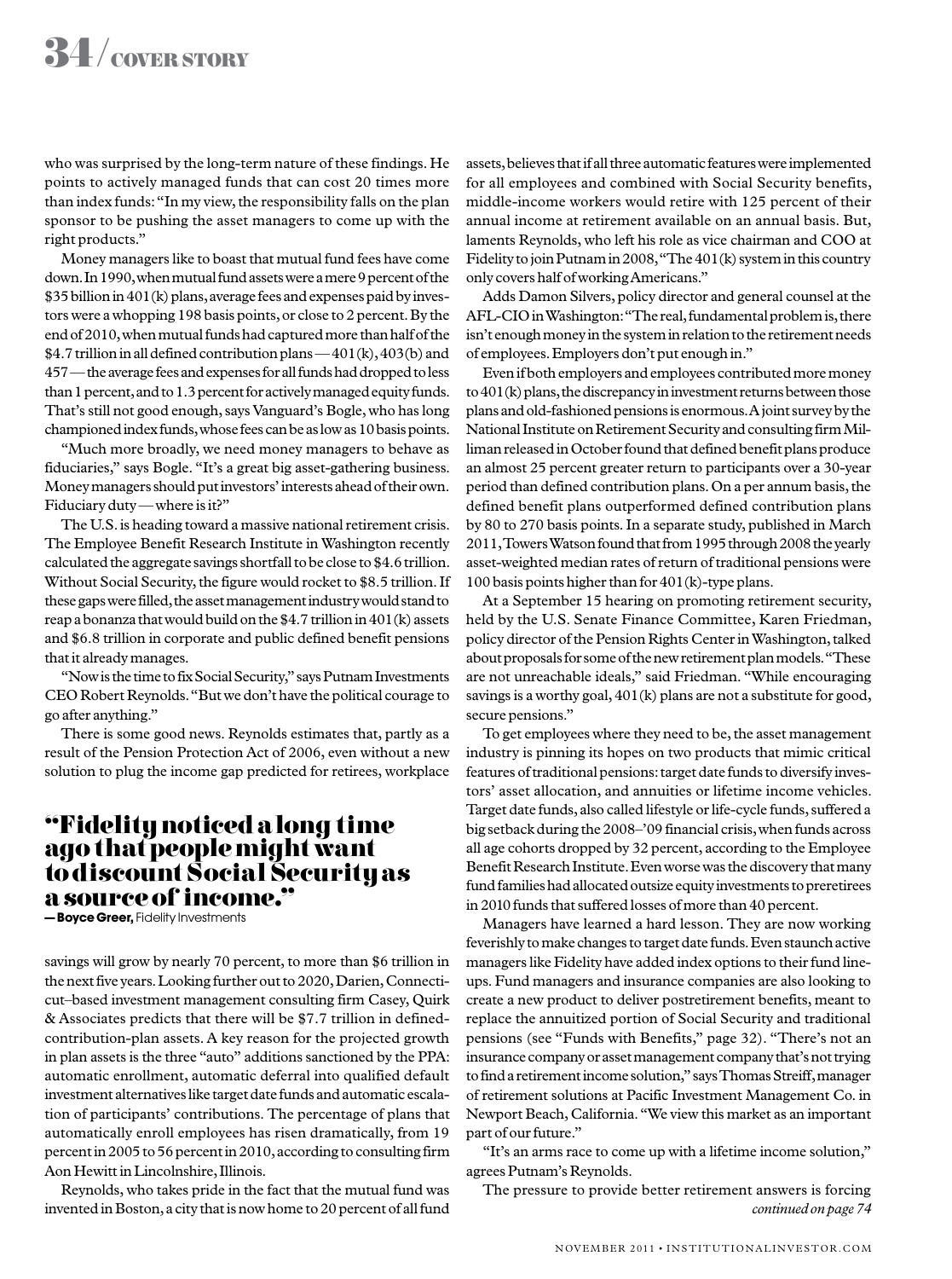

who was surprised by the long-term nature of these findings. He points to actively managed funds that can cost 20 times more than index funds: "In my view, the responsibility falls on the plan sponsor to be pushing the asset managers to come up with the right products."

Money managers like to boast that mutual fund fees have come down. In 1990, when mutual fund assets were a mere 9 percent of the \$35 billion in 401(k) plans, average fees and expenses paid by investors were a whopping 198 basis points, or close to 2 percent. By the end of 2010, when mutual funds had captured more than half of the \$4.7 trillion in all defined contribution plans — 401(k), 403(b) and 457 — the average fees and expenses for all funds had dropped to less than 1 percent, and to 1.3 percent for actively managed equity funds. That's still not good enough, says Vanguard's Bogle, who has long championed index funds, whose fees can be as low as 10 basis points.

"Much more broadly, we need money managers to behave as fiduciaries," says Bogle. "It's a great big asset-gathering business. Money managers should put investors' interests ahead of their own. Fiduciary duty — where is it?"

The U.S. is heading toward a massive national retirement crisis. The Employee Benefit Research Institute in Washington recently calculated the aggregate savings shortfall to be close to \$4.6 trillion. Without Social Security, the figure would rocket to \$8.5 trillion. If these gaps were filled, the asset management industry would stand to reap a bonanza that would build on the \$4.7 trillion in 401(k) assets and \$6.8 trillion in corporate and public defined benefit pensions that it already manages.

"Now is the time to fix Social Security," says Putnam Investments CEO Robert Reynolds. "But we don't have the political courage to go after anything."

There is some good news. Reynolds estimates that, partly as a result of the Pension Protection Act of 2006, even without a new solution to plug the income gap predicted for retirees, workplace

## "Fidelity noticed a long time ago that people might want to discount Social Security as a source of income."

**— Boyce Greer,** Fidelity Investments

savings will grow by nearly 70 percent, to more than \$6 trillion in the next five years. Looking further out to 2020, Darien, Connecticut–based investment management consulting firm Casey, Quirk & Associates predicts that there will be \$7.7 trillion in definedcontribution-plan assets. A key reason for the projected growth in plan assets is the three "auto" additions sanctioned by the PPA: automatic enrollment, automatic deferral into qualified default investment alternatives like target date funds and automatic escalation of participants' contributions. The percentage of plans that automatically enroll employees has risen dramatically, from 19 percent in 2005 to 56 percent in 2010, according to consulting firm Aon Hewitt in Lincolnshire, Illinois.

Reynolds, who takes pride in the fact that the mutual fund was invented in Boston, a city that is now home to 20 percent of all fund assets, believes that if all three automatic features were implemented for all employees and combined with Social Security benefits, middle-income workers would retire with 125 percent of their annual income at retirement available on an annual basis. But, laments Reynolds, who left his role as vice chairman and COO at Fidelity to join Putnam in 2008, "The 401(k) system in this country only covers half of working Americans."

Adds Damon Silvers, policy director and general counsel at the AFL-CIO in Washington: "The real, fundamental problem is, there isn't enough money in the system in relation to the retirement needs of employees. Employers don't put enough in."

Even if both employers and employees contributed more money to 401(k) plans, the discrepancy in investment returns between those plans and old-fashioned pensions is enormous. A joint survey by the National Institute on Retirement Security and consulting firm Milliman released in October found that defined benefit plans produce an almost 25 percent greater return to participants over a 30-year period than defined contribution plans. On a per annum basis, the defined benefit plans outperformed defined contribution plans by 80 to 270 basis points. In a separate study, published in March 2011, Towers Watson found that from 1995 through 2008 the yearly asset-weighted median rates of return of traditional pensions were 100 basis points higher than for 401(k)-type plans.

At a September 15 hearing on promoting retirement security, held by the U.S. Senate Finance Committee, Karen Friedman, policy director of the Pension Rights Center in Washington, talked about proposals for some of the new retirement plan models. "These are not unreachable ideals," said Friedman. "While encouraging savings is a worthy goal, 401(k) plans are not a substitute for good, secure pensions."

To get employees where they need to be, the asset management industry is pinning its hopes on two products that mimic critical features of traditional pensions: target date funds to diversify investors' asset allocation, and annuities or lifetime income vehicles. Target date funds, also called lifestyle or life-cycle funds, suffered a big setback during the 2008–'09 financial crisis, when funds across all age cohorts dropped by 32 percent, according to the Employee Benefit Research Institute. Even worse was the discovery that many fund families had allocated outsize equity investments to preretirees in 2010 funds that suffered losses of more than 40 percent.

Managers have learned a hard lesson. They are now working feverishly to make changes to target date funds. Even staunch active managers like Fidelity have added index options to their fund lineups. Fund managers and insurance companies are also looking to create a new product to deliver postretirement benefits, meant to replace the annuitized portion of Social Security and traditional pensions (see "Funds with Benefits," page 32). "There's not an insurance company or asset management company that's not trying to find a retirement income solution," says Thomas Streiff, manager of retirement solutions at Pacific Investment Management Co. in Newport Beach, California. "We view this market as an important part of our future."

"It's an arms race to come up with a lifetime income solution," agrees Putnam's Reynolds.

The pressure to provide better retirement answers is forcing *continued on page 74*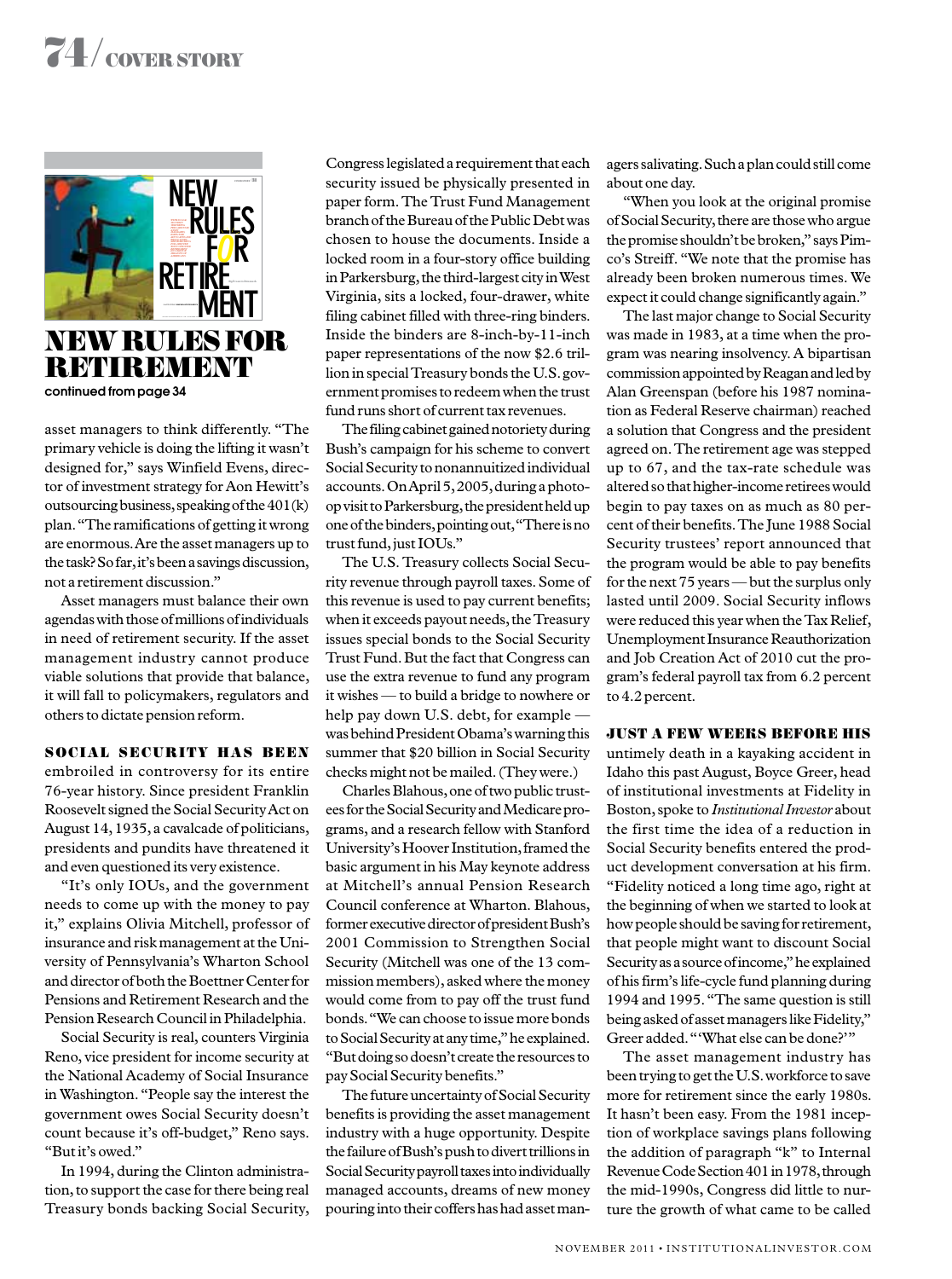

asset managers to think differently. "The primary vehicle is doing the lifting it wasn't designed for," says Winfield Evens, director of investment strategy for Aon Hewitt's outsourcing business, speaking of the 401(k) plan. "The ramifications of getting it wrong are enormous. Are the asset managers up to the task? So far, it's been a savings discussion, not a retirement discussion."

Asset managers must balance their own agendas with those of millions of individuals in need of retirement security. If the asset management industry cannot produce viable solutions that provide that balance, it will fall to policymakers, regulators and others to dictate pension reform.

### SOCIAL SECURITY HAS BEEN

embroiled in controversy for its entire 76-year history. Since president Franklin Roosevelt signed the Social Security Act on August 14, 1935, a cavalcade of politicians, presidents and pundits have threatened it and even questioned its very existence.

"It's only IOUs, and the government needs to come up with the money to pay it," explains Olivia Mitchell, professor of insurance and risk management at the University of Pennsylvania's Wharton School and director of both the Boettner Center for Pensions and Retirement Research and the Pension Research Council in Philadelphia.

Social Security is real, counters Virginia Reno, vice president for income security at the National Academy of Social Insurance in Washington. "People say the interest the government owes Social Security doesn't count because it's off-budget," Reno says. "But it's owed."

In 1994, during the Clinton administration, to support the case for there being real Treasury bonds backing Social Security,

Congress legislated a requirement that each security issued be physically presented in paper form. The Trust Fund Management branch of the Bureau of the Public Debt was chosen to house the documents. Inside a locked room in a four-story office building in Parkersburg, the third-largest city in West Virginia, sits a locked, four-drawer, white filing cabinet filled with three-ring binders. Inside the binders are 8-inch-by-11-inch paper representations of the now \$2.6 trillion in special Treasury bonds the U.S. government promises to redeem when the trust fund runs short of current tax revenues.

The filing cabinet gained notoriety during Bush's campaign for his scheme to convert Social Security to nonannuitized individual accounts. On April 5, 2005, during a photoop visit to Parkersburg, the president held up one of the binders, pointing out, "There is no trust fund, just IOUs."

The U.S. Treasury collects Social Security revenue through payroll taxes. Some of this revenue is used to pay current benefits; when it exceeds payout needs, the Treasury issues special bonds to the Social Security Trust Fund. But the fact that Congress can use the extra revenue to fund any program it wishes — to build a bridge to nowhere or help pay down U.S. debt, for example was behind President Obama's warning this summer that \$20 billion in Social Security checks might not be mailed. (They were.)

Charles Blahous, one of two public trustees for the Social Security and Medicare programs, and a research fellow with Stanford University's Hoover Institution, framed the basic argument in his May keynote address at Mitchell's annual Pension Research Council conference at Wharton. Blahous, former executive director of president Bush's 2001 Commission to Strengthen Social Security (Mitchell was one of the 13 commission members), asked where the money would come from to pay off the trust fund bonds. "We can choose to issue more bonds to Social Security at any time," he explained. "But doing so doesn't create the resources to pay Social Security benefits."

The future uncertainty of Social Security benefits is providing the asset management industry with a huge opportunity. Despite the failure of Bush's push to divert trillions in Social Security payroll taxes into individually managed accounts, dreams of new money pouring into their coffers has had asset managers salivating. Such a plan could still come about one day.

"When you look at the original promise of Social Security, there are those who argue the promise shouldn't be broken," says Pimco's Streiff. "We note that the promise has already been broken numerous times. We expect it could change significantly again."

The last major change to Social Security was made in 1983, at a time when the program was nearing insolvency. A bipartisan commission appointed by Reagan and led by Alan Greenspan (before his 1987 nomination as Federal Reserve chairman) reached a solution that Congress and the president agreed on. The retirement age was stepped up to 67, and the tax-rate schedule was altered so that higher-income retirees would begin to pay taxes on as much as 80 percent of their benefits. The June 1988 Social Security trustees' report announced that the program would be able to pay benefits for the next 75 years — but the surplus only lasted until 2009. Social Security inflows were reduced this year when the Tax Relief, Unemployment Insurance Reauthorization and Job Creation Act of 2010 cut the program's federal payroll tax from 6.2 percent to 4.2 percent.

#### Just a few weeks before his

untimely death in a kayaking accident in Idaho this past August, Boyce Greer, head of institutional investments at Fidelity in Boston, spoke to *Institutional Investor* about the first time the idea of a reduction in Social Security benefits entered the product development conversation at his firm. "Fidelity noticed a long time ago, right at the beginning of when we started to look at how people should be saving for retirement, that people might want to discount Social Security as a source of income," he explained of his firm's life-cycle fund planning during 1994 and 1995. "The same question is still being asked of asset managers like Fidelity," Greer added. "'What else can be done?'"

The asset management industry has been trying to get the U.S. workforce to save more for retirement since the early 1980s. It hasn't been easy. From the 1981 inception of workplace savings plans following the addition of paragraph "k" to Internal Revenue Code Section 401 in 1978, through the mid-1990s, Congress did little to nurture the growth of what came to be called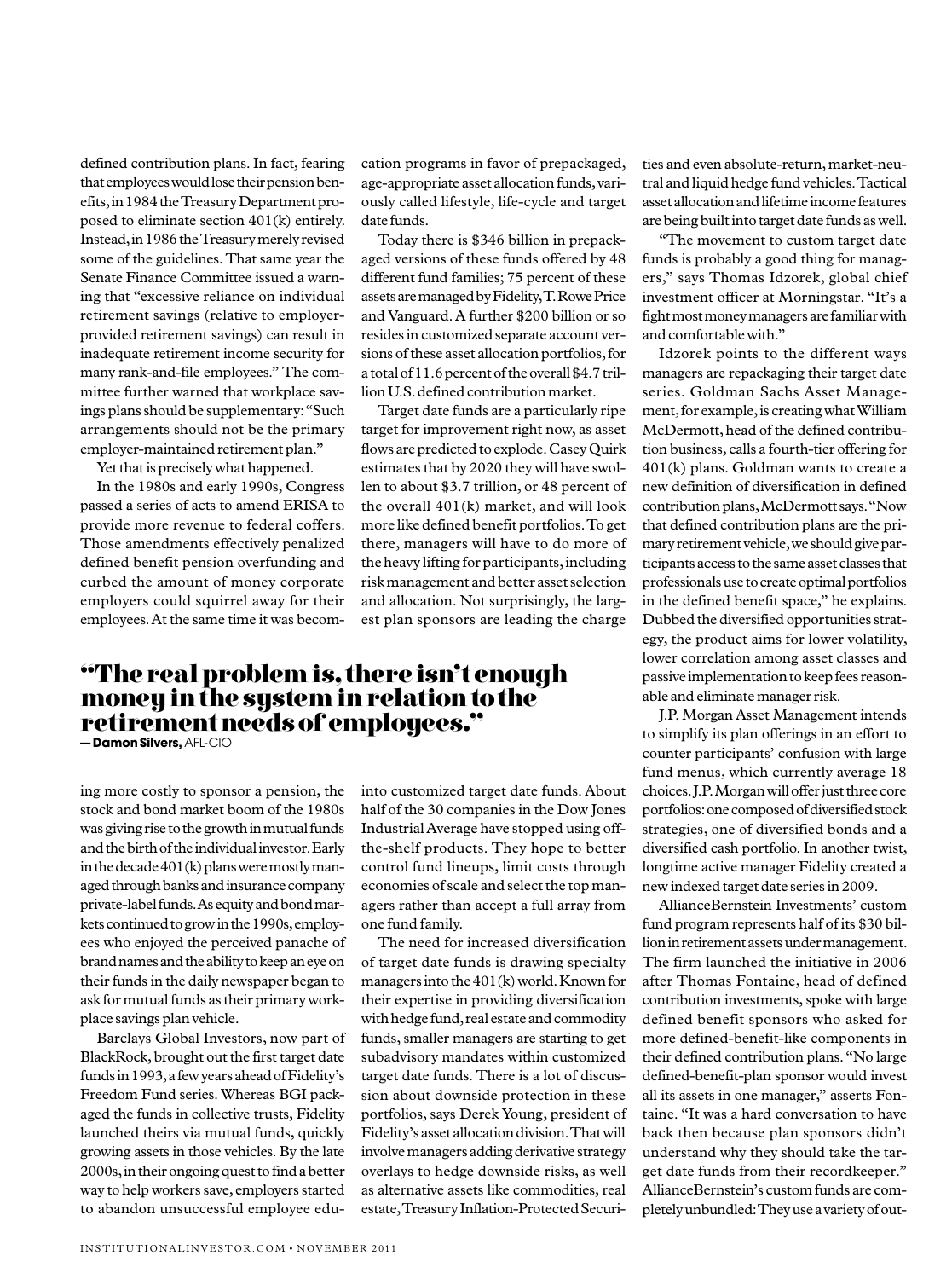defined contribution plans. In fact, fearing that employees would lose their pension benefits, in 1984 the Treasury Department proposed to eliminate section 401(k) entirely. Instead, in 1986 the Treasury merely revised some of the guidelines. That same year the Senate Finance Committee issued a warning that "excessive reliance on individual retirement savings (relative to employerprovided retirement savings) can result in inadequate retirement income security for many rank-and-file employees." The committee further warned that workplace savings plans should be supplementary: "Such arrangements should not be the primary employer-maintained retirement plan."

Yet that is precisely what happened.

In the 1980s and early 1990s, Congress passed a series of acts to amend ERISA to provide more revenue to federal coffers. Those amendments effectively penalized defined benefit pension overfunding and curbed the amount of money corporate employers could squirrel away for their employees. At the same time it was becomcation programs in favor of prepackaged, age-appropriate asset allocation funds, variously called lifestyle, life-cycle and target date funds.

Today there is \$346 billion in prepackaged versions of these funds offered by 48 different fund families; 75 percent of these assets are managed by Fidelity, T. Rowe Price and Vanguard. A further \$200 billion or so resides in customized separate account versions of these asset allocation portfolios, for a total of 11.6 percent of the overall \$4.7 trillion U.S. defined contribution market.

Target date funds are a particularly ripe target for improvement right now, as asset flows are predicted to explode. Casey Quirk estimates that by 2020 they will have swollen to about \$3.7 trillion, or 48 percent of the overall 401(k) market, and will look more like defined benefit portfolios. To get there, managers will have to do more of the heavy lifting for participants, including risk management and better asset selection and allocation. Not surprisingly, the largest plan sponsors are leading the charge

## "The real problem is, there isn't enough money in the system in relation to the  $\check{\phantom{a}}$ retirement needs of employees."

**— Damon Silvers,** AFL-CIO

ing more costly to sponsor a pension, the stock and bond market boom of the 1980s was giving rise to the growth in mutual funds and the birth of the individual investor. Early in the decade 401(k) plans were mostly managed through banks and insurance company private-label funds. As equity and bond markets continued to grow in the 1990s, employees who enjoyed the perceived panache of brand names and the ability to keep an eye on their funds in the daily newspaper began to ask for mutual funds as their primary workplace savings plan vehicle.

Barclays Global Investors, now part of BlackRock, brought out the first target date funds in 1993, a few years ahead of Fidelity's Freedom Fund series. Whereas BGI packaged the funds in collective trusts, Fidelity launched theirs via mutual funds, quickly growing assets in those vehicles. By the late 2000s, in their ongoing quest to find a better way to help workers save, employers started to abandon unsuccessful employee eduinto customized target date funds. About half of the 30 companies in the Dow Jones Industrial Average have stopped using offthe-shelf products. They hope to better control fund lineups, limit costs through economies of scale and select the top managers rather than accept a full array from one fund family.

The need for increased diversification of target date funds is drawing specialty managers into the 401(k) world. Known for their expertise in providing diversification with hedge fund, real estate and commodity funds, smaller managers are starting to get subadvisory mandates within customized target date funds. There is a lot of discussion about downside protection in these portfolios, says Derek Young, president of Fidelity's asset allocation division. That will involve managers adding derivative strategy overlays to hedge downside risks, as well as alternative assets like commodities, real estate, Treasury Inflation-Protected Securi-

ties and even absolute-return, market-neutral and liquid hedge fund vehicles. Tactical asset allocation and lifetime income features are being built into target date funds as well.

"The movement to custom target date funds is probably a good thing for managers," says Thomas Idzorek, global chief investment officer at Morningstar. "It's a fight most money managers are familiar with and comfortable with."

Idzorek points to the different ways managers are repackaging their target date series. Goldman Sachs Asset Management, for example, is creating what William McDermott, head of the defined contribution business, calls a fourth-tier offering for 401(k) plans. Goldman wants to create a new definition of diversification in defined contribution plans, McDermott says. "Now that defined contribution plans are the primary retirement vehicle, we should give participants access to the same asset classes that professionals use to create optimal portfolios in the defined benefit space," he explains. Dubbed the diversified opportunities strategy, the product aims for lower volatility, lower correlation among asset classes and passive implementation to keep fees reasonable and eliminate manager risk.

J.P. Morgan Asset Management intends to simplify its plan offerings in an effort to counter participants' confusion with large fund menus, which currently average 18 choices. J.P. Morgan will offer just three core portfolios: one composed of diversified stock strategies, one of diversified bonds and a diversified cash portfolio. In another twist, longtime active manager Fidelity created a new indexed target date series in 2009.

AllianceBernstein Investments' custom fund program represents half of its \$30 billion in retirement assets under management. The firm launched the initiative in 2006 after Thomas Fontaine, head of defined contribution investments, spoke with large defined benefit sponsors who asked for more defined-benefit-like components in their defined contribution plans. "No large defined-benefit-plan sponsor would invest all its assets in one manager," asserts Fontaine. "It was a hard conversation to have back then because plan sponsors didn't understand why they should take the target date funds from their recordkeeper." AllianceBernstein's custom funds are completely unbundled: They use a variety of out-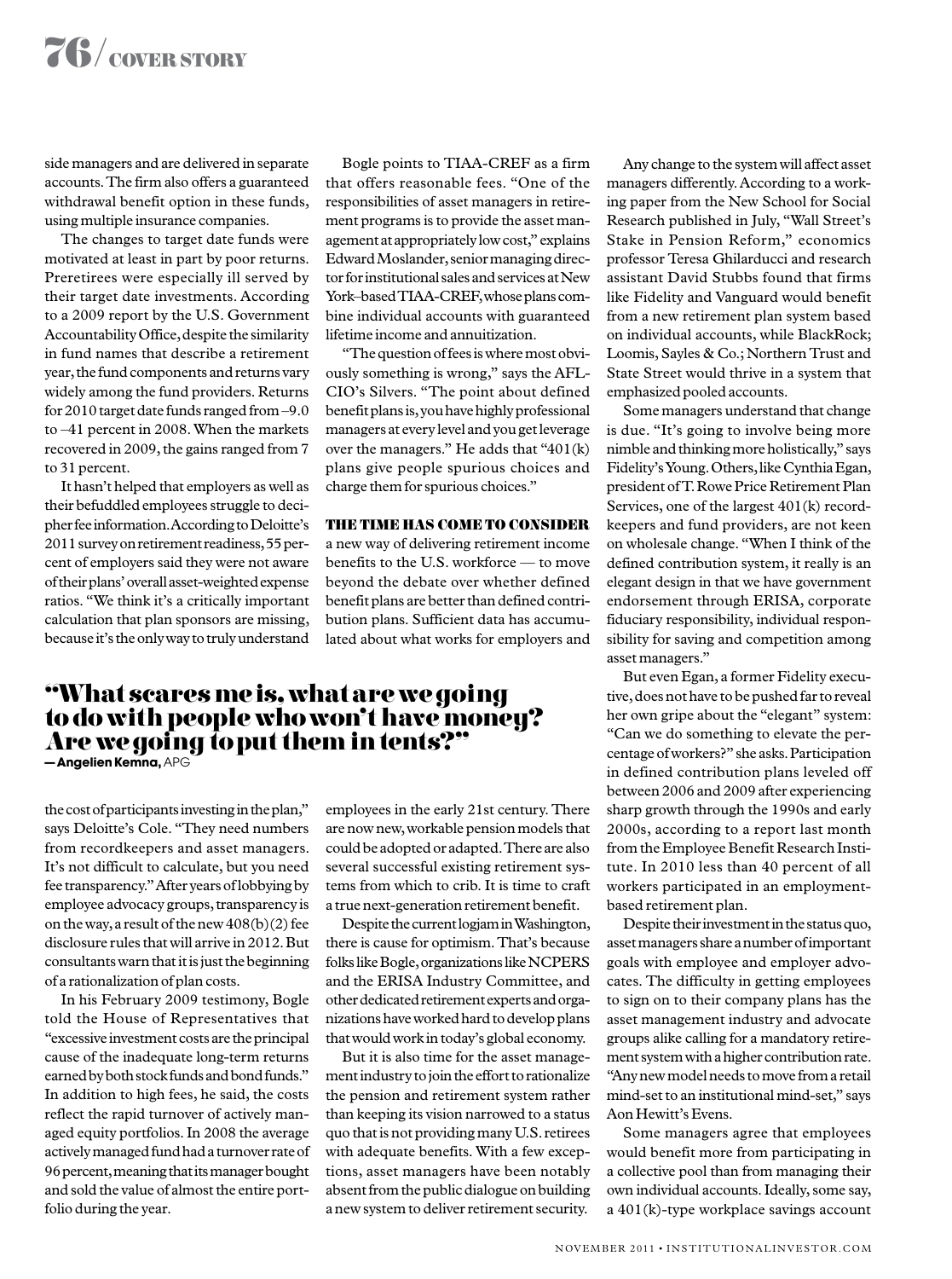

side managers and are delivered in separate accounts. The firm also offers a guaranteed withdrawal benefit option in these funds, using multiple insurance companies.

The changes to target date funds were motivated at least in part by poor returns. Preretirees were especially ill served by their target date investments. According to a 2009 report by the U.S. Government Accountability Office, despite the similarity in fund names that describe a retirement year, the fund components and returns vary widely among the fund providers. Returns for 2010 target date funds ranged from –9.0 to –41 percent in 2008. When the markets recovered in 2009, the gains ranged from 7 to 31 percent.

It hasn't helped that employers as well as their befuddled employees struggle to decipher fee information. According to Deloitte's 2011 survey on retirement readiness, 55 percent of employers said they were not aware of their plans' overall asset-weighted expense ratios. "We think it's a critically important calculation that plan sponsors are missing, because it's the only way to truly understand

Bogle points to TIAA-CREF as a firm that offers reasonable fees. "One of the responsibilities of asset managers in retirement programs is to provide the asset management at appropriately low cost," explains Edward Moslander, senior managing director for institutional sales and services at New York–based TIAA-CREF, whose plans combine individual accounts with guaranteed lifetime income and annuitization.

"The question of fees is where most obviously something is wrong," says the AFL-CIO's Silvers. "The point about defined benefit plans is, you have highly professional managers at every level and you get leverage over the managers." He adds that "401(k) plans give people spurious choices and charge them for spurious choices."

### The time has come to consider

a new way of delivering retirement income benefits to the U.S. workforce — to move beyond the debate over whether defined benefit plans are better than defined contribution plans. Sufficient data has accumulated about what works for employers and

# "What scares me is, what are we going to do with people who won't have money? Are we going to put them in tents?"

**— Angelien Kemna,** APG

the cost of participants investing in the plan," says Deloitte's Cole. "They need numbers from recordkeepers and asset managers. It's not difficult to calculate, but you need fee transparency." After years of lobbying by employee advocacy groups, transparency is on the way, a result of the new 408(b)(2) fee disclosure rules that will arrive in 2012. But consultants warn that it is just the beginning of a rationalization of plan costs.

In his February 2009 testimony, Bogle told the House of Representatives that "excessive investment costs are the principal cause of the inadequate long-term returns earned by both stock funds and bond funds." In addition to high fees, he said, the costs reflect the rapid turnover of actively managed equity portfolios. In 2008 the average actively managed fund had a turnover rate of 96 percent, meaning that its manager bought and sold the value of almost the entire portfolio during the year.

employees in the early 21st century. There are now new, workable pension models that could be adopted or adapted. There are also several successful existing retirement systems from which to crib. It is time to craft a true next-generation retirement benefit.

Despite the current logjam in Washington, there is cause for optimism. That's because folks like Bogle, organizations like NCPERS and the ERISA Industry Committee, and other dedicated retirement experts and organizations have worked hard to develop plans that would work in today's global economy.

But it is also time for the asset management industry to join the effort to rationalize the pension and retirement system rather than keeping its vision narrowed to a status quo that is not providing many U.S. retirees with adequate benefits. With a few exceptions, asset managers have been notably absent from the public dialogue on building a new system to deliver retirement security.

Any change to the system will affect asset managers differently. According to a working paper from the New School for Social Research published in July, "Wall Street's Stake in Pension Reform," economics professor Teresa Ghilarducci and research assistant David Stubbs found that firms like Fidelity and Vanguard would benefit from a new retirement plan system based on individual accounts, while BlackRock; Loomis, Sayles & Co.; Northern Trust and State Street would thrive in a system that emphasized pooled accounts.

Some managers understand that change is due. "It's going to involve being more nimble and thinking more holistically," says Fidelity's Young. Others, like Cynthia Egan, president of T. Rowe Price Retirement Plan Services, one of the largest 401(k) recordkeepers and fund providers, are not keen on wholesale change. "When I think of the defined contribution system, it really is an elegant design in that we have government endorsement through ERISA, corporate fiduciary responsibility, individual responsibility for saving and competition among asset managers."

But even Egan, a former Fidelity executive, does not have to be pushed far to reveal her own gripe about the "elegant" system: "Can we do something to elevate the percentage of workers?" she asks. Participation in defined contribution plans leveled off between 2006 and 2009 after experiencing sharp growth through the 1990s and early 2000s, according to a report last month from the Employee Benefit Research Institute. In 2010 less than 40 percent of all workers participated in an employmentbased retirement plan.

Despite their investment in the status quo, asset managers share a number of important goals with employee and employer advocates. The difficulty in getting employees to sign on to their company plans has the asset management industry and advocate groups alike calling for a mandatory retirement system with a higher contribution rate. "Any new model needs to move from a retail mind-set to an institutional mind-set," says Aon Hewitt's Evens.

Some managers agree that employees would benefit more from participating in a collective pool than from managing their own individual accounts. Ideally, some say, a 401(k)-type workplace savings account